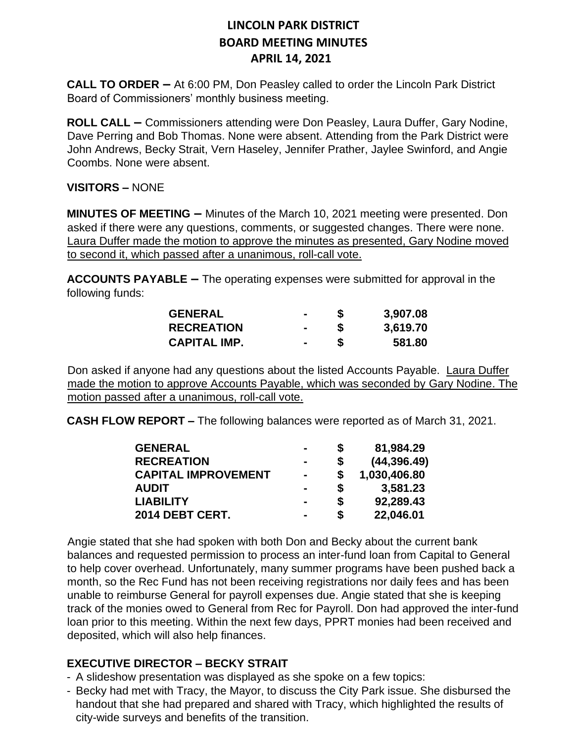**CALL TO ORDER –** At 6:00 PM, Don Peasley called to order the Lincoln Park District Board of Commissioners' monthly business meeting.

**ROLL CALL –** Commissioners attending were Don Peasley, Laura Duffer, Gary Nodine, Dave Perring and Bob Thomas. None were absent. Attending from the Park District were John Andrews, Becky Strait, Vern Haseley, Jennifer Prather, Jaylee Swinford, and Angie Coombs. None were absent.

#### **VISITORS –** NONE

**MINUTES OF MEETING –** Minutes of the March 10, 2021 meeting were presented. Don asked if there were any questions, comments, or suggested changes. There were none. Laura Duffer made the motion to approve the minutes as presented, Gary Nodine moved to second it, which passed after a unanimous, roll-call vote.

**ACCOUNTS PAYABLE –** The operating expenses were submitted for approval in the following funds:

| <b>GENERAL</b>      | $\sim$         | 3,907.08 |
|---------------------|----------------|----------|
| <b>RECREATION</b>   | $\blacksquare$ | 3,619.70 |
| <b>CAPITAL IMP.</b> | $\blacksquare$ | 581.80   |

Don asked if anyone had any questions about the listed Accounts Payable. Laura Duffer made the motion to approve Accounts Payable, which was seconded by Gary Nodine. The motion passed after a unanimous, roll-call vote.

**CASH FLOW REPORT –** The following balances were reported as of March 31, 2021.

| <b>GENERAL</b>             | -              | S  | 81,984.29    |
|----------------------------|----------------|----|--------------|
| <b>RECREATION</b>          | -              | S  | (44, 396.49) |
| <b>CAPITAL IMPROVEMENT</b> | $\blacksquare$ | \$ | 1,030,406.80 |
| <b>AUDIT</b>               |                | S  | 3,581.23     |
| <b>LIABILITY</b>           | $\blacksquare$ | \$ | 92,289.43    |
| 2014 DEBT CERT.            | $\blacksquare$ | S  | 22,046.01    |

Angie stated that she had spoken with both Don and Becky about the current bank balances and requested permission to process an inter-fund loan from Capital to General to help cover overhead. Unfortunately, many summer programs have been pushed back a month, so the Rec Fund has not been receiving registrations nor daily fees and has been unable to reimburse General for payroll expenses due. Angie stated that she is keeping track of the monies owed to General from Rec for Payroll. Don had approved the inter-fund loan prior to this meeting. Within the next few days, PPRT monies had been received and deposited, which will also help finances.

#### **EXECUTIVE DIRECTOR – BECKY STRAIT**

- A slideshow presentation was displayed as she spoke on a few topics:
- Becky had met with Tracy, the Mayor, to discuss the City Park issue. She disbursed the handout that she had prepared and shared with Tracy, which highlighted the results of city-wide surveys and benefits of the transition.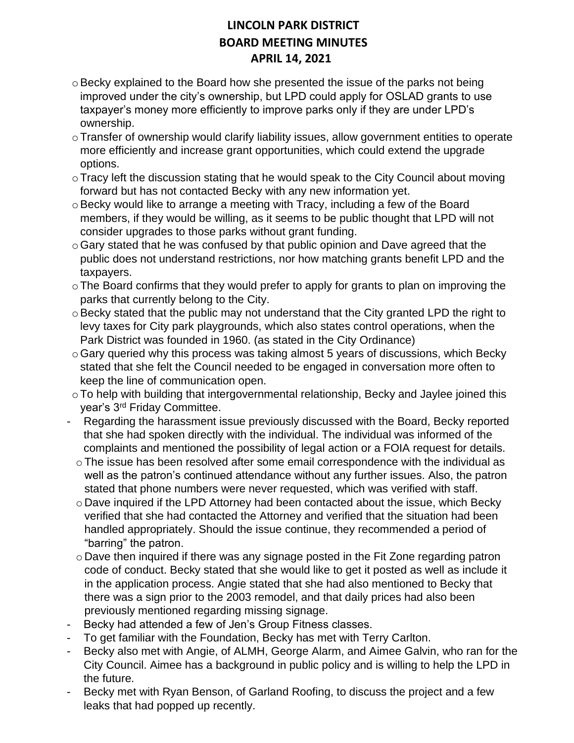- o Becky explained to the Board how she presented the issue of the parks not being improved under the city's ownership, but LPD could apply for OSLAD grants to use taxpayer's money more efficiently to improve parks only if they are under LPD's ownership.
- oTransfer of ownership would clarify liability issues, allow government entities to operate more efficiently and increase grant opportunities, which could extend the upgrade options.
- o Tracy left the discussion stating that he would speak to the City Council about moving forward but has not contacted Becky with any new information yet.
- $\circ$  Becky would like to arrange a meeting with Tracy, including a few of the Board members, if they would be willing, as it seems to be public thought that LPD will not consider upgrades to those parks without grant funding.
- $\circ$  Gary stated that he was confused by that public opinion and Dave agreed that the public does not understand restrictions, nor how matching grants benefit LPD and the taxpayers.
- oThe Board confirms that they would prefer to apply for grants to plan on improving the parks that currently belong to the City.
- $\circ$  Becky stated that the public may not understand that the City granted LPD the right to levy taxes for City park playgrounds, which also states control operations, when the Park District was founded in 1960. (as stated in the City Ordinance)
- $\circ$  Gary queried why this process was taking almost 5 years of discussions, which Becky stated that she felt the Council needed to be engaged in conversation more often to keep the line of communication open.
- oTo help with building that intergovernmental relationship, Becky and Jaylee joined this year's 3rd Friday Committee.
- Regarding the harassment issue previously discussed with the Board, Becky reported that she had spoken directly with the individual. The individual was informed of the complaints and mentioned the possibility of legal action or a FOIA request for details.
	- $\circ$  The issue has been resolved after some email correspondence with the individual as well as the patron's continued attendance without any further issues. Also, the patron stated that phone numbers were never requested, which was verified with staff.
	- $\circ$  Dave inquired if the LPD Attorney had been contacted about the issue, which Becky verified that she had contacted the Attorney and verified that the situation had been handled appropriately. Should the issue continue, they recommended a period of "barring" the patron.
	- o Dave then inquired if there was any signage posted in the Fit Zone regarding patron code of conduct. Becky stated that she would like to get it posted as well as include it in the application process. Angie stated that she had also mentioned to Becky that there was a sign prior to the 2003 remodel, and that daily prices had also been previously mentioned regarding missing signage.
- Becky had attended a few of Jen's Group Fitness classes.
- To get familiar with the Foundation, Becky has met with Terry Carlton.
- Becky also met with Angie, of ALMH, George Alarm, and Aimee Galvin, who ran for the City Council. Aimee has a background in public policy and is willing to help the LPD in the future.
- Becky met with Ryan Benson, of Garland Roofing, to discuss the project and a few leaks that had popped up recently.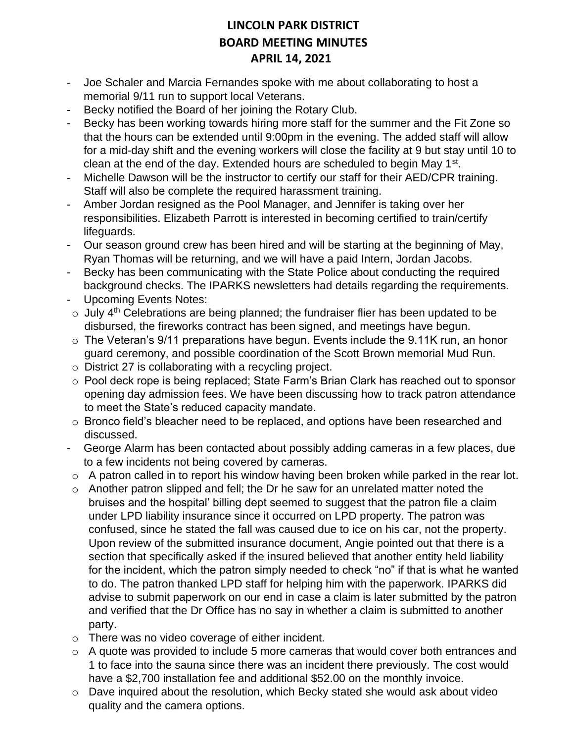- Joe Schaler and Marcia Fernandes spoke with me about collaborating to host a memorial 9/11 run to support local Veterans.
- Becky notified the Board of her joining the Rotary Club.
- Becky has been working towards hiring more staff for the summer and the Fit Zone so that the hours can be extended until 9:00pm in the evening. The added staff will allow for a mid-day shift and the evening workers will close the facility at 9 but stay until 10 to clean at the end of the day. Extended hours are scheduled to begin May 1<sup>st</sup>.
- Michelle Dawson will be the instructor to certify our staff for their AED/CPR training. Staff will also be complete the required harassment training.
- Amber Jordan resigned as the Pool Manager, and Jennifer is taking over her responsibilities. Elizabeth Parrott is interested in becoming certified to train/certify lifeguards.
- Our season ground crew has been hired and will be starting at the beginning of May, Ryan Thomas will be returning, and we will have a paid Intern, Jordan Jacobs.
- Becky has been communicating with the State Police about conducting the required background checks. The IPARKS newsletters had details regarding the requirements.
- Upcoming Events Notes:
- $\circ$  July 4<sup>th</sup> Celebrations are being planned; the fundraiser flier has been updated to be disbursed, the fireworks contract has been signed, and meetings have begun.
- o The Veteran's 9/11 preparations have begun. Events include the 9.11K run, an honor guard ceremony, and possible coordination of the Scott Brown memorial Mud Run.
- o District 27 is collaborating with a recycling project.
- o Pool deck rope is being replaced; State Farm's Brian Clark has reached out to sponsor opening day admission fees. We have been discussing how to track patron attendance to meet the State's reduced capacity mandate.
- o Bronco field's bleacher need to be replaced, and options have been researched and discussed.
- George Alarm has been contacted about possibly adding cameras in a few places, due to a few incidents not being covered by cameras.
- $\circ$  A patron called in to report his window having been broken while parked in the rear lot.
- $\circ$  Another patron slipped and fell; the Dr he saw for an unrelated matter noted the bruises and the hospital' billing dept seemed to suggest that the patron file a claim under LPD liability insurance since it occurred on LPD property. The patron was confused, since he stated the fall was caused due to ice on his car, not the property. Upon review of the submitted insurance document, Angie pointed out that there is a section that specifically asked if the insured believed that another entity held liability for the incident, which the patron simply needed to check "no" if that is what he wanted to do. The patron thanked LPD staff for helping him with the paperwork. IPARKS did advise to submit paperwork on our end in case a claim is later submitted by the patron and verified that the Dr Office has no say in whether a claim is submitted to another party.
- o There was no video coverage of either incident.
- o A quote was provided to include 5 more cameras that would cover both entrances and 1 to face into the sauna since there was an incident there previously. The cost would have a \$2,700 installation fee and additional \$52.00 on the monthly invoice.
- o Dave inquired about the resolution, which Becky stated she would ask about video quality and the camera options.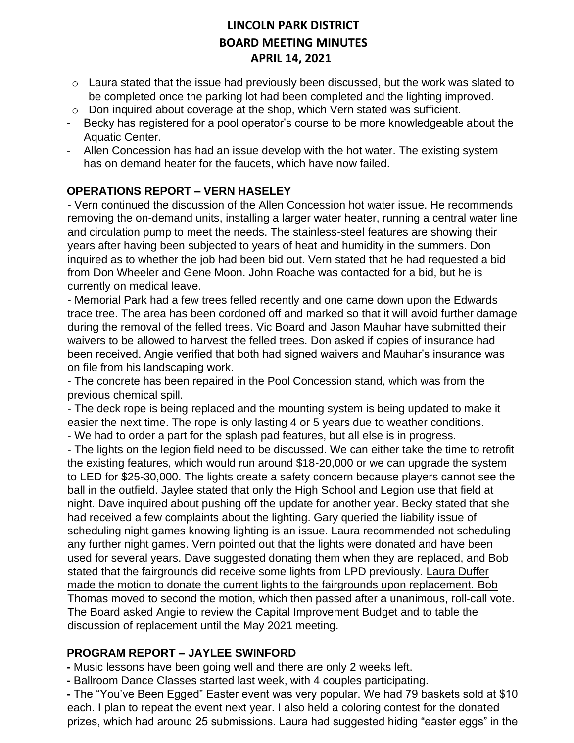- o Laura stated that the issue had previously been discussed, but the work was slated to be completed once the parking lot had been completed and the lighting improved.
- o Don inquired about coverage at the shop, which Vern stated was sufficient.
- Becky has registered for a pool operator's course to be more knowledgeable about the Aquatic Center.
- Allen Concession has had an issue develop with the hot water. The existing system has on demand heater for the faucets, which have now failed.

#### **OPERATIONS REPORT – VERN HASELEY**

- Vern continued the discussion of the Allen Concession hot water issue. He recommends removing the on-demand units, installing a larger water heater, running a central water line and circulation pump to meet the needs. The stainless-steel features are showing their years after having been subjected to years of heat and humidity in the summers. Don inquired as to whether the job had been bid out. Vern stated that he had requested a bid from Don Wheeler and Gene Moon. John Roache was contacted for a bid, but he is currently on medical leave.

- Memorial Park had a few trees felled recently and one came down upon the Edwards trace tree. The area has been cordoned off and marked so that it will avoid further damage during the removal of the felled trees. Vic Board and Jason Mauhar have submitted their waivers to be allowed to harvest the felled trees. Don asked if copies of insurance had been received. Angie verified that both had signed waivers and Mauhar's insurance was on file from his landscaping work.

- The concrete has been repaired in the Pool Concession stand, which was from the previous chemical spill.

- The deck rope is being replaced and the mounting system is being updated to make it easier the next time. The rope is only lasting 4 or 5 years due to weather conditions.

- We had to order a part for the splash pad features, but all else is in progress.

- The lights on the legion field need to be discussed. We can either take the time to retrofit the existing features, which would run around \$18-20,000 or we can upgrade the system to LED for \$25-30,000. The lights create a safety concern because players cannot see the ball in the outfield. Jaylee stated that only the High School and Legion use that field at night. Dave inquired about pushing off the update for another year. Becky stated that she had received a few complaints about the lighting. Gary queried the liability issue of scheduling night games knowing lighting is an issue. Laura recommended not scheduling any further night games. Vern pointed out that the lights were donated and have been used for several years. Dave suggested donating them when they are replaced, and Bob stated that the fairgrounds did receive some lights from LPD previously. Laura Duffer made the motion to donate the current lights to the fairgrounds upon replacement. Bob Thomas moved to second the motion, which then passed after a unanimous, roll-call vote. The Board asked Angie to review the Capital Improvement Budget and to table the discussion of replacement until the May 2021 meeting.

#### **PROGRAM REPORT – JAYLEE SWINFORD**

**-** Music lessons have been going well and there are only 2 weeks left.

**-** Ballroom Dance Classes started last week, with 4 couples participating.

**-** The "You've Been Egged" Easter event was very popular. We had 79 baskets sold at \$10 each. I plan to repeat the event next year. I also held a coloring contest for the donated prizes, which had around 25 submissions. Laura had suggested hiding "easter eggs" in the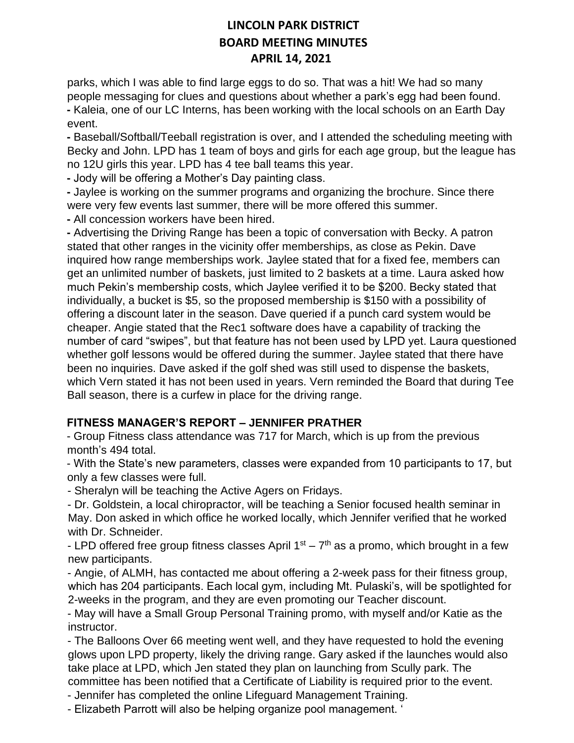parks, which I was able to find large eggs to do so. That was a hit! We had so many people messaging for clues and questions about whether a park's egg had been found. **-** Kaleia, one of our LC Interns, has been working with the local schools on an Earth Day event.

**-** Baseball/Softball/Teeball registration is over, and I attended the scheduling meeting with Becky and John. LPD has 1 team of boys and girls for each age group, but the league has no 12U girls this year. LPD has 4 tee ball teams this year.

**-** Jody will be offering a Mother's Day painting class.

**-** Jaylee is working on the summer programs and organizing the brochure. Since there were very few events last summer, there will be more offered this summer.

**-** All concession workers have been hired.

**-** Advertising the Driving Range has been a topic of conversation with Becky. A patron stated that other ranges in the vicinity offer memberships, as close as Pekin. Dave inquired how range memberships work. Jaylee stated that for a fixed fee, members can get an unlimited number of baskets, just limited to 2 baskets at a time. Laura asked how much Pekin's membership costs, which Jaylee verified it to be \$200. Becky stated that individually, a bucket is \$5, so the proposed membership is \$150 with a possibility of offering a discount later in the season. Dave queried if a punch card system would be cheaper. Angie stated that the Rec1 software does have a capability of tracking the number of card "swipes", but that feature has not been used by LPD yet. Laura questioned whether golf lessons would be offered during the summer. Jaylee stated that there have been no inquiries. Dave asked if the golf shed was still used to dispense the baskets, which Vern stated it has not been used in years. Vern reminded the Board that during Tee Ball season, there is a curfew in place for the driving range.

#### **FITNESS MANAGER'S REPORT – JENNIFER PRATHER**

- Group Fitness class attendance was 717 for March, which is up from the previous month's 494 total.

- With the State's new parameters, classes were expanded from 10 participants to 17, but only a few classes were full.

- Sheralyn will be teaching the Active Agers on Fridays.

- Dr. Goldstein, a local chiropractor, will be teaching a Senior focused health seminar in May. Don asked in which office he worked locally, which Jennifer verified that he worked with Dr. Schneider.

- LPD offered free group fitness classes April  $1<sup>st</sup> - 7<sup>th</sup>$  as a promo, which brought in a few new participants.

- Angie, of ALMH, has contacted me about offering a 2-week pass for their fitness group, which has 204 participants. Each local gym, including Mt. Pulaski's, will be spotlighted for 2-weeks in the program, and they are even promoting our Teacher discount.

- May will have a Small Group Personal Training promo, with myself and/or Katie as the instructor.

- The Balloons Over 66 meeting went well, and they have requested to hold the evening glows upon LPD property, likely the driving range. Gary asked if the launches would also take place at LPD, which Jen stated they plan on launching from Scully park. The committee has been notified that a Certificate of Liability is required prior to the event.

- Jennifer has completed the online Lifeguard Management Training.

- Elizabeth Parrott will also be helping organize pool management. '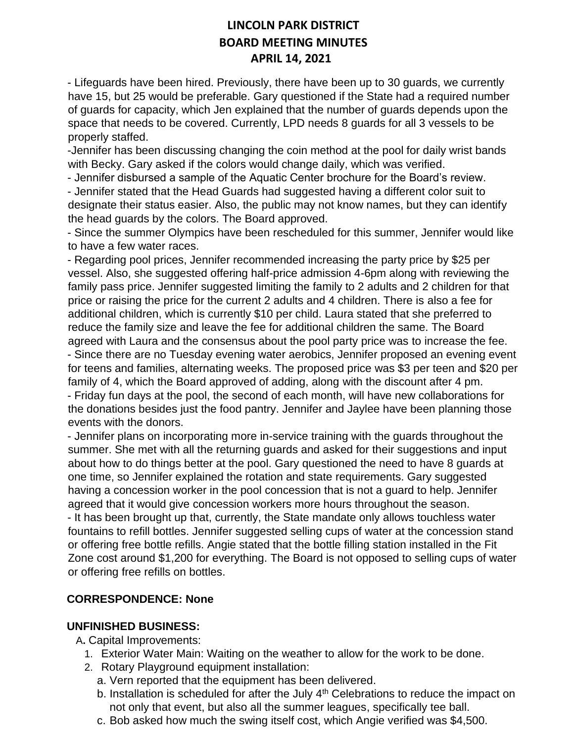- Lifeguards have been hired. Previously, there have been up to 30 guards, we currently have 15, but 25 would be preferable. Gary questioned if the State had a required number of guards for capacity, which Jen explained that the number of guards depends upon the space that needs to be covered. Currently, LPD needs 8 guards for all 3 vessels to be properly staffed.

-Jennifer has been discussing changing the coin method at the pool for daily wrist bands with Becky. Gary asked if the colors would change daily, which was verified.

- Jennifer disbursed a sample of the Aquatic Center brochure for the Board's review.

- Jennifer stated that the Head Guards had suggested having a different color suit to designate their status easier. Also, the public may not know names, but they can identify the head guards by the colors. The Board approved.

- Since the summer Olympics have been rescheduled for this summer, Jennifer would like to have a few water races.

- Regarding pool prices, Jennifer recommended increasing the party price by \$25 per vessel. Also, she suggested offering half-price admission 4-6pm along with reviewing the family pass price. Jennifer suggested limiting the family to 2 adults and 2 children for that price or raising the price for the current 2 adults and 4 children. There is also a fee for additional children, which is currently \$10 per child. Laura stated that she preferred to reduce the family size and leave the fee for additional children the same. The Board agreed with Laura and the consensus about the pool party price was to increase the fee. - Since there are no Tuesday evening water aerobics, Jennifer proposed an evening event for teens and families, alternating weeks. The proposed price was \$3 per teen and \$20 per family of 4, which the Board approved of adding, along with the discount after 4 pm. - Friday fun days at the pool, the second of each month, will have new collaborations for the donations besides just the food pantry. Jennifer and Jaylee have been planning those events with the donors.

- Jennifer plans on incorporating more in-service training with the guards throughout the summer. She met with all the returning guards and asked for their suggestions and input about how to do things better at the pool. Gary questioned the need to have 8 guards at one time, so Jennifer explained the rotation and state requirements. Gary suggested having a concession worker in the pool concession that is not a guard to help. Jennifer agreed that it would give concession workers more hours throughout the season. - It has been brought up that, currently, the State mandate only allows touchless water fountains to refill bottles. Jennifer suggested selling cups of water at the concession stand or offering free bottle refills. Angie stated that the bottle filling station installed in the Fit Zone cost around \$1,200 for everything. The Board is not opposed to selling cups of water or offering free refills on bottles.

# **CORRESPONDENCE: None**

#### **UNFINISHED BUSINESS:**

A**.** Capital Improvements:

- 1. Exterior Water Main: Waiting on the weather to allow for the work to be done.
- 2. Rotary Playground equipment installation:
	- a. Vern reported that the equipment has been delivered.
	- b. Installation is scheduled for after the July 4<sup>th</sup> Celebrations to reduce the impact on not only that event, but also all the summer leagues, specifically tee ball.
	- c. Bob asked how much the swing itself cost, which Angie verified was \$4,500.